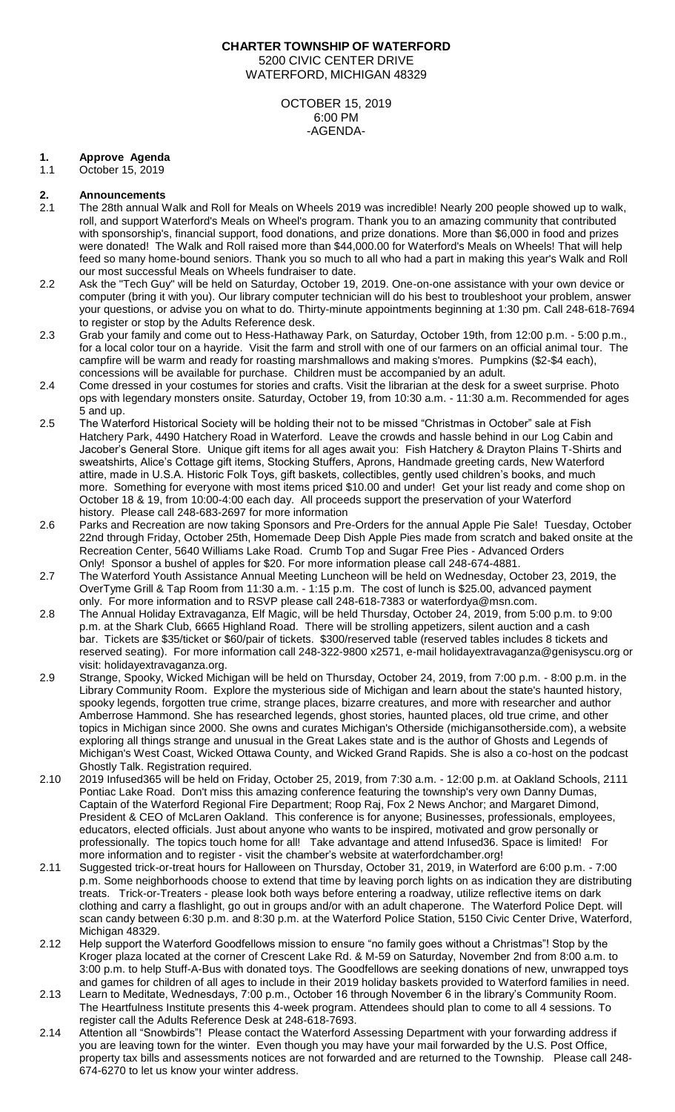## **CHARTER TOWNSHIP OF WATERFORD** 5200 CIVIC CENTER DRIVE WATERFORD, MICHIGAN 48329

#### OCTOBER 15, 2019 6:00 PM -AGENDA-

### **1. Approve Agenda**

1.1 October 15, 2019

## **2. Announcements**

- 2.1 The 28th annual Walk and Roll for Meals on Wheels 2019 was incredible! Nearly 200 people showed up to walk, roll, and support Waterford's Meals on Wheel's program. Thank you to an amazing community that contributed with sponsorship's, financial support, food donations, and prize donations. More than \$6,000 in food and prizes were donated! The Walk and Roll raised more than \$44,000.00 for Waterford's Meals on Wheels! That will help feed so many home-bound seniors. Thank you so much to all who had a part in making this year's Walk and Roll our most successful Meals on Wheels fundraiser to date.
- 2.2 Ask the "Tech Guy" will be held on Saturday, October 19, 2019. One-on-one assistance with your own device or computer (bring it with you). Our library computer technician will do his best to troubleshoot your problem, answer your questions, or advise you on what to do. Thirty-minute appointments beginning at 1:30 pm. Call 248-618-7694 to register or stop by the Adults Reference desk.
- 2.3 Grab your family and come out to Hess-Hathaway Park, on Saturday, October 19th, from 12:00 p.m. 5:00 p.m., for a local color tour on a hayride. Visit the farm and stroll with one of our farmers on an official animal tour. The campfire will be warm and ready for roasting marshmallows and making s'mores. Pumpkins (\$2-\$4 each), concessions will be available for purchase. Children must be accompanied by an adult.
- 2.4 Come dressed in your costumes for stories and crafts. Visit the librarian at the desk for a sweet surprise. Photo ops with legendary monsters onsite. Saturday, October 19, from 10:30 a.m. - 11:30 a.m. Recommended for ages 5 and up.
- 2.5 The Waterford Historical Society will be holding their not to be missed "Christmas in October" sale at Fish Hatchery Park, 4490 Hatchery Road in Waterford. Leave the crowds and hassle behind in our Log Cabin and Jacober's General Store. Unique gift items for all ages await you: Fish Hatchery & Drayton Plains T-Shirts and sweatshirts, Alice's Cottage gift items, Stocking Stuffers, Aprons, Handmade greeting cards, New Waterford attire, made in U.S.A. Historic Folk Toys, gift baskets, collectibles, gently used children's books, and much more. Something for everyone with most items priced \$10.00 and under! Get your list ready and come shop on October 18 & 19, from 10:00-4:00 each day. All proceeds support the preservation of your Waterford history. Please call 248-683-2697 for more information
- 2.6 Parks and Recreation are now taking Sponsors and Pre-Orders for the annual Apple Pie Sale! Tuesday, October 22nd through Friday, October 25th, Homemade Deep Dish Apple Pies made from scratch and baked onsite at the Recreation Center, 5640 Williams Lake Road. Crumb Top and Sugar Free Pies - Advanced Orders Only! Sponsor a bushel of apples for \$20. For more information please call 248-674-4881.
- 2.7 The Waterford Youth Assistance Annual Meeting Luncheon will be held on Wednesday, October 23, 2019, the OverTyme Grill & Tap Room from 11:30 a.m. - 1:15 p.m. The cost of lunch is \$25.00, advanced payment only. For more information and to RSVP please call 248-618-7383 or waterfordya@msn.com.
- 2.8 The Annual Holiday Extravaganza, Elf Magic, will be held Thursday, October 24, 2019, from 5:00 p.m. to 9:00 p.m. at the Shark Club, 6665 Highland Road. There will be strolling appetizers, silent auction and a cash bar. Tickets are \$35/ticket or \$60/pair of tickets. \$300/reserved table (reserved tables includes 8 tickets and reserved seating). For more information call 248-322-9800 x2571, e-mail holidayextravaganza@genisyscu.org or visit: holidayextravaganza.org.
- 2.9 Strange, Spooky, Wicked Michigan will be held on Thursday, October 24, 2019, from 7:00 p.m. 8:00 p.m. in the Library Community Room. Explore the mysterious side of Michigan and learn about the state's haunted history, spooky legends, forgotten true crime, strange places, bizarre creatures, and more with researcher and author Amberrose Hammond. She has researched legends, ghost stories, haunted places, old true crime, and other topics in Michigan since 2000. She owns and curates Michigan's Otherside (michigansotherside.com), a website exploring all things strange and unusual in the Great Lakes state and is the author of Ghosts and Legends of Michigan's West Coast, Wicked Ottawa County, and Wicked Grand Rapids. She is also a co-host on the podcast Ghostly Talk. Registration required.
- 2.10 2019 Infused365 will be held on Friday, October 25, 2019, from 7:30 a.m. 12:00 p.m. at Oakland Schools, 2111 Pontiac Lake Road. Don't miss this amazing conference featuring the township's very own Danny Dumas, Captain of the Waterford Regional Fire Department; Roop Raj, Fox 2 News Anchor; and Margaret Dimond, President & CEO of McLaren Oakland. This conference is for anyone; Businesses, professionals, employees, educators, elected officials. Just about anyone who wants to be inspired, motivated and grow personally or professionally. The topics touch home for all! Take advantage and attend Infused36. Space is limited! For more information and to register - visit the chamber's website at waterfordchamber.org!
- 2.11 Suggested trick-or-treat hours for Halloween on Thursday, October 31, 2019, in Waterford are 6:00 p.m. 7:00 p.m. Some neighborhoods choose to extend that time by leaving porch lights on as indication they are distributing treats. Trick-or-Treaters - please look both ways before entering a roadway, utilize reflective items on dark clothing and carry a flashlight, go out in groups and/or with an adult chaperone. The Waterford Police Dept. will scan candy between 6:30 p.m. and 8:30 p.m. at the Waterford Police Station, 5150 Civic Center Drive, Waterford, Michigan 48329.
- 2.12 Help support the Waterford Goodfellows mission to ensure "no family goes without a Christmas"! Stop by the Kroger plaza located at the corner of Crescent Lake Rd. & M-59 on Saturday, November 2nd from 8:00 a.m. to 3:00 p.m. to help Stuff-A-Bus with donated toys. The Goodfellows are seeking donations of new, unwrapped toys and games for children of all ages to include in their 2019 holiday baskets provided to Waterford families in need.
- 2.13 Learn to Meditate, Wednesdays, 7:00 p.m., October 16 through November 6 in the library's Community Room. The Heartfulness Institute presents this 4-week program. Attendees should plan to come to all 4 sessions. To register call the Adults Reference Desk at 248-618-7693.
- 2.14 Attention all "Snowbirds"! Please contact the Waterford Assessing Department with your forwarding address if you are leaving town for the winter. Even though you may have your mail forwarded by the U.S. Post Office, property tax bills and assessments notices are not forwarded and are returned to the Township. Please call 248- 674-6270 to let us know your winter address.